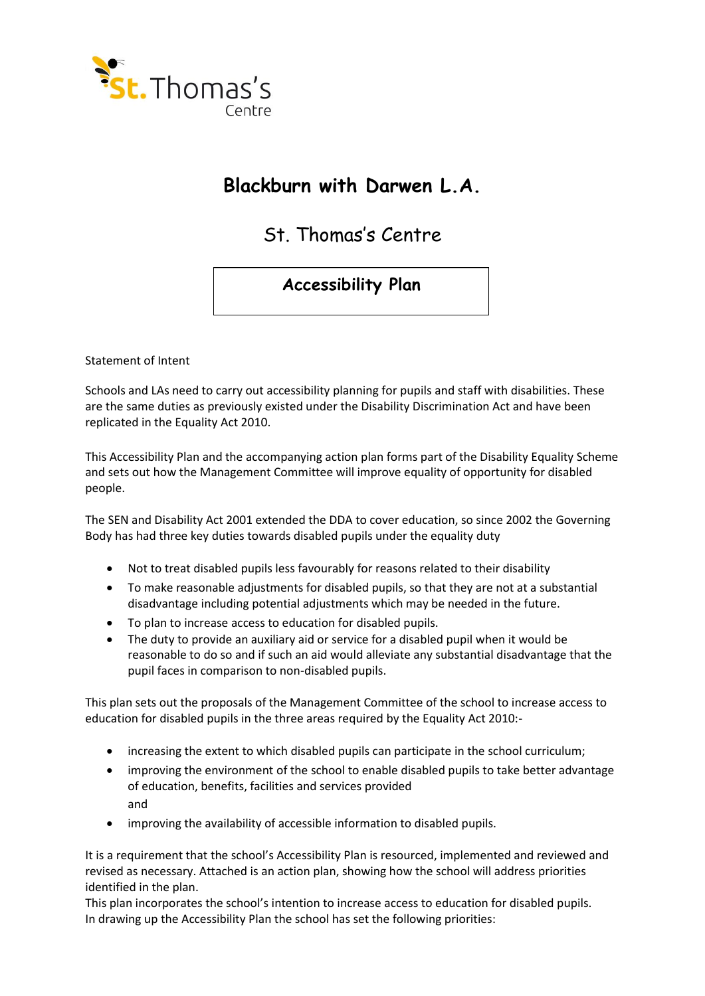

# **Blackburn with Darwen L.A.**

St. Thomas's Centre

## **Accessibility Plan**

Statement of Intent

Schools and LAs need to carry out accessibility planning for pupils and staff with disabilities. These are the same duties as previously existed under the Disability Discrimination Act and have been replicated in the Equality Act 2010.

This Accessibility Plan and the accompanying action plan forms part of the Disability Equality Scheme and sets out how the Management Committee will improve equality of opportunity for disabled people.

The SEN and Disability Act 2001 extended the DDA to cover education, so since 2002 the Governing Body has had three key duties towards disabled pupils under the equality duty

- Not to treat disabled pupils less favourably for reasons related to their disability
- To make reasonable adjustments for disabled pupils, so that they are not at a substantial disadvantage including potential adjustments which may be needed in the future.
- To plan to increase access to education for disabled pupils.
- The duty to provide an auxiliary aid or service for a disabled pupil when it would be reasonable to do so and if such an aid would alleviate any substantial disadvantage that the pupil faces in comparison to non-disabled pupils.

This plan sets out the proposals of the Management Committee of the school to increase access to education for disabled pupils in the three areas required by the Equality Act 2010:-

- increasing the extent to which disabled pupils can participate in the school curriculum;
- improving the environment of the school to enable disabled pupils to take better advantage of education, benefits, facilities and services provided and
- improving the availability of accessible information to disabled pupils.

It is a requirement that the school's Accessibility Plan is resourced, implemented and reviewed and revised as necessary. Attached is an action plan, showing how the school will address priorities identified in the plan.

This plan incorporates the school's intention to increase access to education for disabled pupils. In drawing up the Accessibility Plan the school has set the following priorities: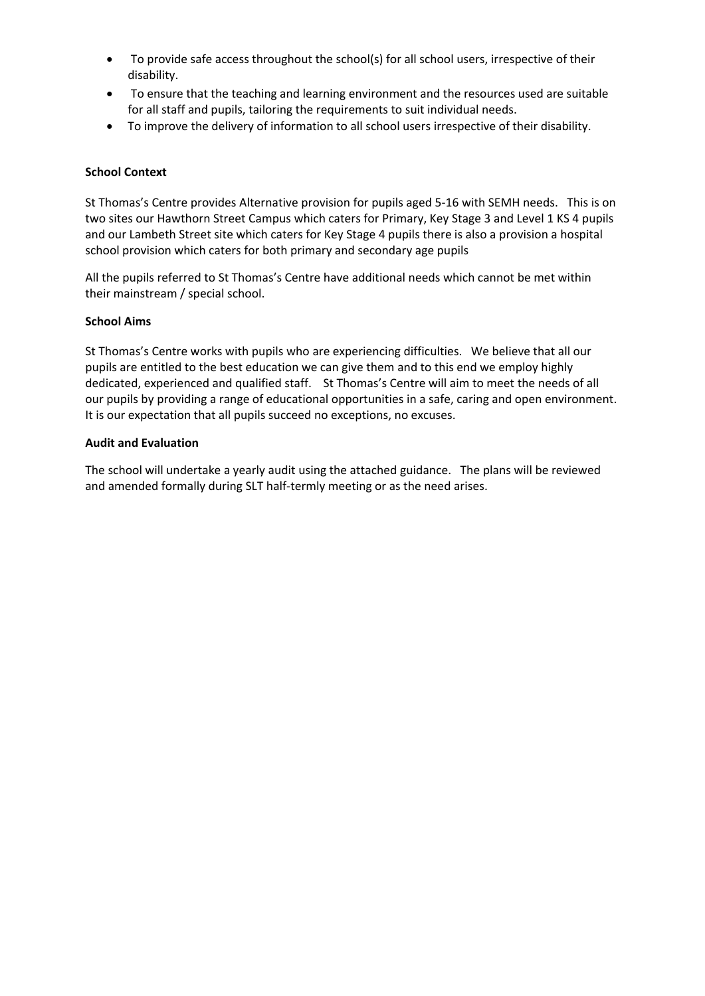- To provide safe access throughout the school(s) for all school users, irrespective of their disability.
- To ensure that the teaching and learning environment and the resources used are suitable for all staff and pupils, tailoring the requirements to suit individual needs.
- To improve the delivery of information to all school users irrespective of their disability.

### **School Context**

St Thomas's Centre provides Alternative provision for pupils aged 5-16 with SEMH needs. This is on two sites our Hawthorn Street Campus which caters for Primary, Key Stage 3 and Level 1 KS 4 pupils and our Lambeth Street site which caters for Key Stage 4 pupils there is also a provision a hospital school provision which caters for both primary and secondary age pupil. Pupils are also taught in the home, or satellite sites.

All the pupils referred to St Thomas's Centre have additional needs which cannot be met within their mainstream / special school. 鄭D Z}Œš•-

### v

The school is extremely flexible and solution focused to ensure we accommodate different disabilities.

There are limitations of accessibility created by the sites. The Cambeth otreet oite is an old † ictorian ounday ochool it has no outside s ace and is not fully accessible u stairs. Il the main facilities are downstairs. The =awthorn otreet oite is land loc ed and on a stee incline ma in it challen in for isitors with disabilities.  $\ddagger$  hilst many accommodations ha e been ut in lace full accessibility would be cost rohibiti e.

### **School Aims**

St Thomas's Centre works with pupils who are experiencing difficulties. We believe that all our pupils are entitled to the best education we can give them and to this end we employ highly dedicated, experienced and qualified staff. St Thomas's Centre will aim to meet the needs of all our pupils by providing a range of educational opportunities in a safe, caring and open environment.

#### **Audit and Evaluation**

The school will undertake a yearly audit using the attached guidance. The plans will be reviewed and amended formally during SLT half-termly meeting or as the need arises. This may be because a new student with additional needs has joined the school community.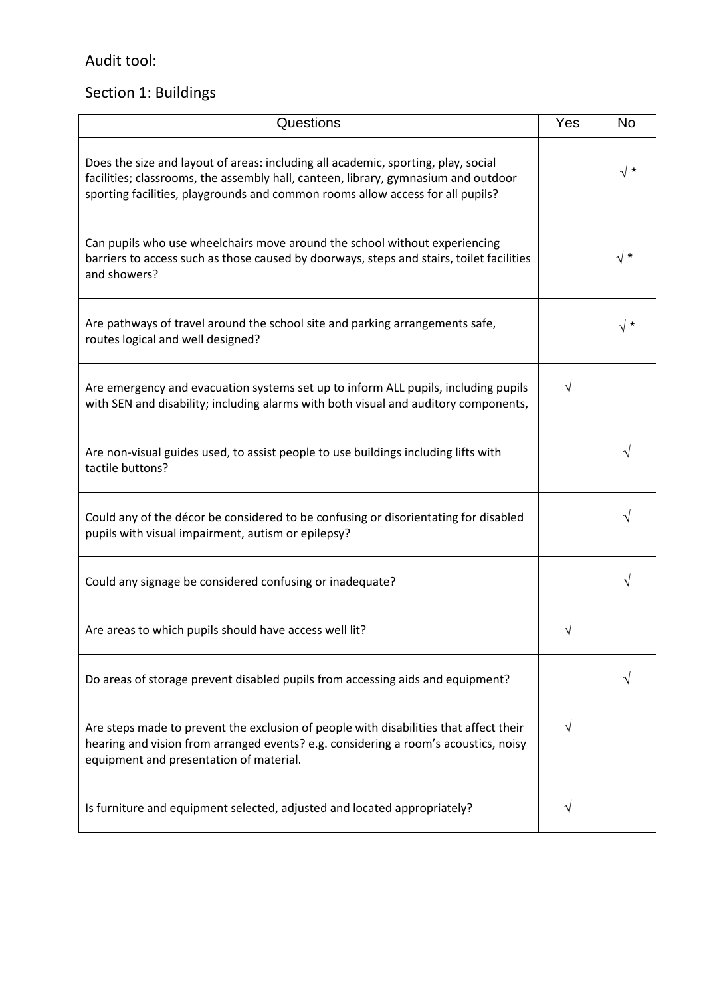## Audit tool:

# Section 1: Buildings

| Questions                                                                                                                                                                                                                                                 | Yes | <b>No</b>  |
|-----------------------------------------------------------------------------------------------------------------------------------------------------------------------------------------------------------------------------------------------------------|-----|------------|
| Does the size and layout of areas: including all academic, sporting, play, social<br>facilities; classrooms, the assembly hall, canteen, library, gymnasium and outdoor<br>sporting facilities, playgrounds and common rooms allow access for all pupils? |     | $\sqrt{*}$ |
| Can pupils who use wheelchairs move around the school without experiencing<br>barriers to access such as those caused by doorways, steps and stairs, toilet facilities<br>and showers?                                                                    |     | $\sqrt{*}$ |
| Are pathways of travel around the school site and parking arrangements safe,<br>routes logical and well designed?                                                                                                                                         |     | √ *        |
| Are emergency and evacuation systems set up to inform ALL pupils, including pupils<br>with SEN and disability; including alarms with both visual and auditory components,                                                                                 | V   |            |
| Are non-visual guides used, to assist people to use buildings including lifts with<br>tactile buttons?                                                                                                                                                    |     |            |
| Could any of the décor be considered to be confusing or disorientating for disabled<br>pupils with visual impairment, autism or epilepsy?                                                                                                                 |     |            |
| Could any signage be considered confusing or inadequate?                                                                                                                                                                                                  |     | V          |
| Are areas to which pupils should have access well lit?                                                                                                                                                                                                    |     |            |
| Do areas of storage prevent disabled pupils from accessing aids and equipment?                                                                                                                                                                            |     |            |
| Are steps made to prevent the exclusion of people with disabilities that affect their<br>hearing and vision from arranged events? e.g. considering a room's acoustics, noisy<br>equipment and presentation of material.                                   |     |            |
| Is furniture and equipment selected, adjusted and located appropriately?                                                                                                                                                                                  |     |            |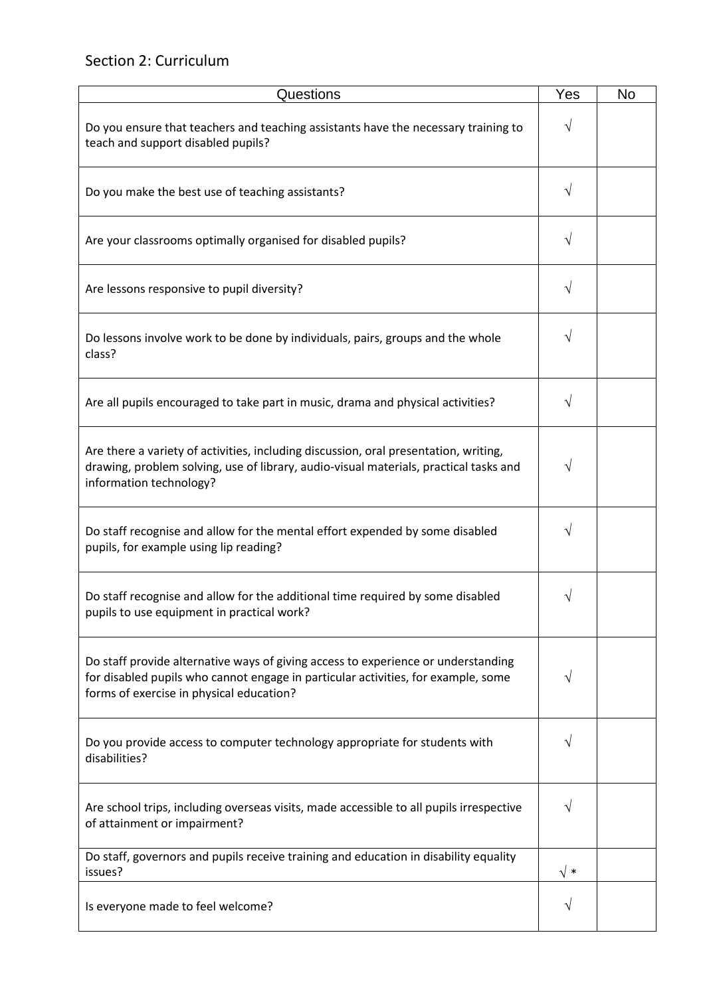### Section 2: Curriculum

| Questions                                                                                                                                                                                                          | Yes | <b>No</b> |
|--------------------------------------------------------------------------------------------------------------------------------------------------------------------------------------------------------------------|-----|-----------|
| Do you ensure that teachers and teaching assistants have the necessary training to<br>teach and support disabled pupils?                                                                                           | V   |           |
| Do you make the best use of teaching assistants?                                                                                                                                                                   | V   |           |
| Are your classrooms optimally organised for disabled pupils?                                                                                                                                                       | V   |           |
| Are lessons responsive to pupil diversity?                                                                                                                                                                         | V   |           |
| Do lessons involve work to be done by individuals, pairs, groups and the whole<br>class?                                                                                                                           | V   |           |
| Are all pupils encouraged to take part in music, drama and physical activities?                                                                                                                                    | V   |           |
| Are there a variety of activities, including discussion, oral presentation, writing,<br>drawing, problem solving, use of library, audio-visual materials, practical tasks and<br>information technology?           | V   |           |
| Do staff recognise and allow for the mental effort expended by some disabled<br>pupils, for example using lip reading?                                                                                             |     |           |
| Do staff recognise and allow for the additional time required by some disabled<br>pupils to use equipment in practical work?                                                                                       |     |           |
| Do staff provide alternative ways of giving access to experience or understanding<br>for disabled pupils who cannot engage in particular activities, for example, some<br>forms of exercise in physical education? | V   |           |
| Do you provide access to computer technology appropriate for students with<br>disabilities?                                                                                                                        | V   |           |
| Are school trips, including overseas visits, made accessible to all pupils irrespective<br>of attainment or impairment?                                                                                            |     |           |
| Do staff, governors and pupils receive training and education in disability equality<br>issues?                                                                                                                    | √ * |           |
| Is everyone made to feel welcome?                                                                                                                                                                                  | V   |           |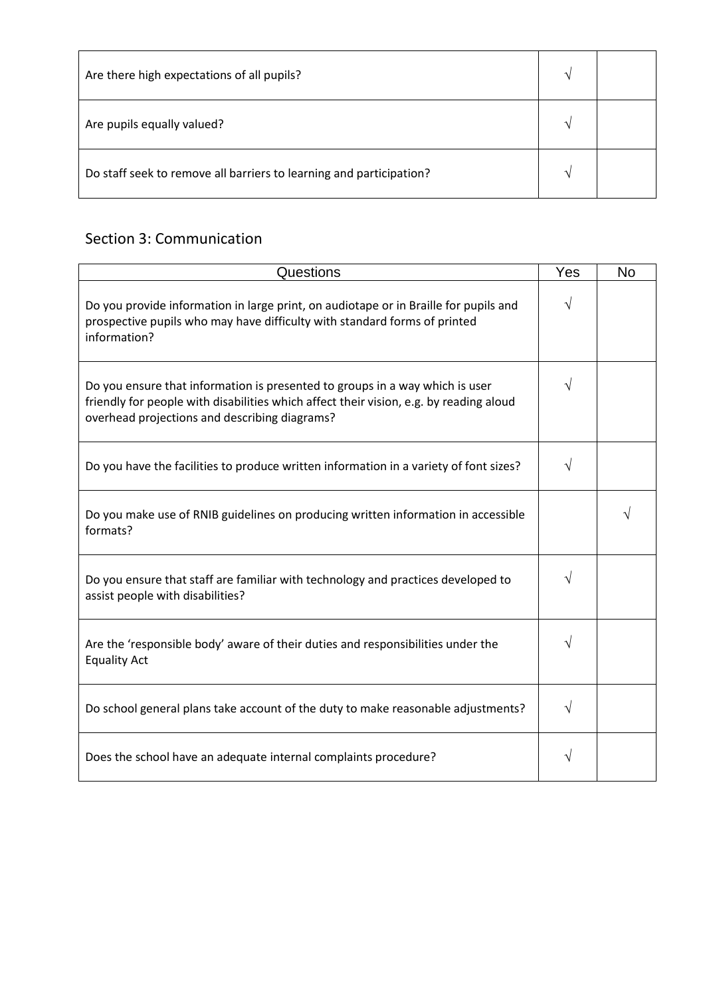| Are there high expectations of all pupils?                          | $\mathcal{N}$     |  |
|---------------------------------------------------------------------|-------------------|--|
| Are pupils equally valued?                                          | $\mathbf \Lambda$ |  |
| Do staff seek to remove all barriers to learning and participation? | ᄾ                 |  |

### Section 3: Communication

| Questions                                                                                                                                                                                                               | Yes | <b>No</b> |
|-------------------------------------------------------------------------------------------------------------------------------------------------------------------------------------------------------------------------|-----|-----------|
| Do you provide information in large print, on audiotape or in Braille for pupils and<br>prospective pupils who may have difficulty with standard forms of printed<br>information?                                       | V   |           |
| Do you ensure that information is presented to groups in a way which is user<br>friendly for people with disabilities which affect their vision, e.g. by reading aloud<br>overhead projections and describing diagrams? |     |           |
| Do you have the facilities to produce written information in a variety of font sizes?                                                                                                                                   |     |           |
| Do you make use of RNIB guidelines on producing written information in accessible<br>formats?                                                                                                                           |     |           |
| Do you ensure that staff are familiar with technology and practices developed to<br>assist people with disabilities?                                                                                                    |     |           |
| Are the 'responsible body' aware of their duties and responsibilities under the<br><b>Equality Act</b>                                                                                                                  |     |           |
| Do school general plans take account of the duty to make reasonable adjustments?                                                                                                                                        | V   |           |
| Does the school have an adequate internal complaints procedure?                                                                                                                                                         |     |           |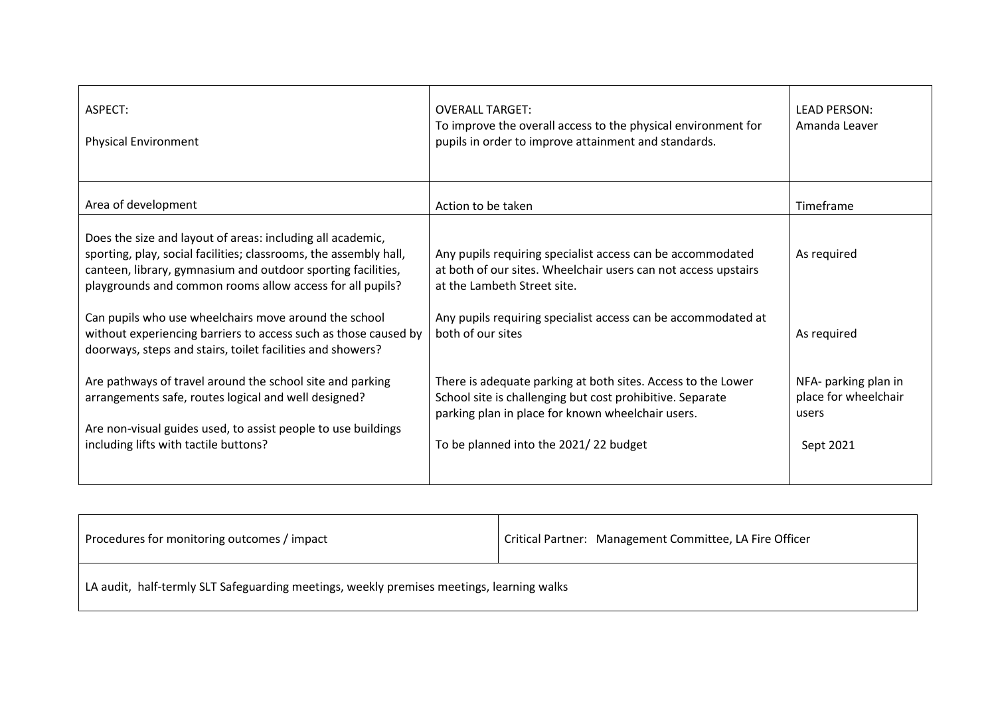| ASPECT:<br><b>Physical Environment</b>                                                                                                                                                                                                                       | <b>OVERALL TARGET:</b><br>To improve the overall access to the physical environment for<br>pupils in order to improve attainment and standards.                                                                                                           | <b>LEAD PERSON:</b><br>Amanda Leaver                        |
|--------------------------------------------------------------------------------------------------------------------------------------------------------------------------------------------------------------------------------------------------------------|-----------------------------------------------------------------------------------------------------------------------------------------------------------------------------------------------------------------------------------------------------------|-------------------------------------------------------------|
| Area of development                                                                                                                                                                                                                                          | Action to be taken                                                                                                                                                                                                                                        | Timeframe                                                   |
| Does the size and layout of areas: including all academic,<br>sporting, play, social facilities; classrooms, the assembly hall,<br>canteen, library, gymnasium and outdoor sporting facilities,<br>playgrounds and common rooms allow access for all pupils? | Any pupils requiring specialist access can be accommodated<br>at both of our sites. Wheelchair users can not access upstairs<br>at the Lambeth Street site. However, specialist teaching<br>rooms, toilet facilities and canteen are on the ground floor. | As required                                                 |
| Can pupils who use wheelchairs move around the school<br>without experiencing barriers to access such as those caused by<br>doorways, steps and stairs, toilet facilities and showers?                                                                       | Any pupils requiring specialist access can be accommodated<br>at both of our sites. Adult visitors can be accommodated at<br>both sites.                                                                                                                  | As required<br>NFA- parking plan in<br>place for wheelchair |
| Are pathways of travel around the school site and parking<br>arrangements safe, routes logical and well designed?<br>Are non-visual guides used, to assist people to use buildings<br>including lifts with tactile buttons?                                  | There is inadequate parking at both sites. Access to the Lower<br>School site is challenging but cost prohibitive. Separate<br>parking plan in place for known wheelchair users.<br>To be planned into the 2021/22 budget.                                | users<br>Sept 2021                                          |

| Procedures for monitoring outcomes / impact                                               | Critical Partner: Management Committee, LA Fire Officer |
|-------------------------------------------------------------------------------------------|---------------------------------------------------------|
| LA audit, half-termly SLT Safeguarding meetings, weekly premises meetings, learning walks |                                                         |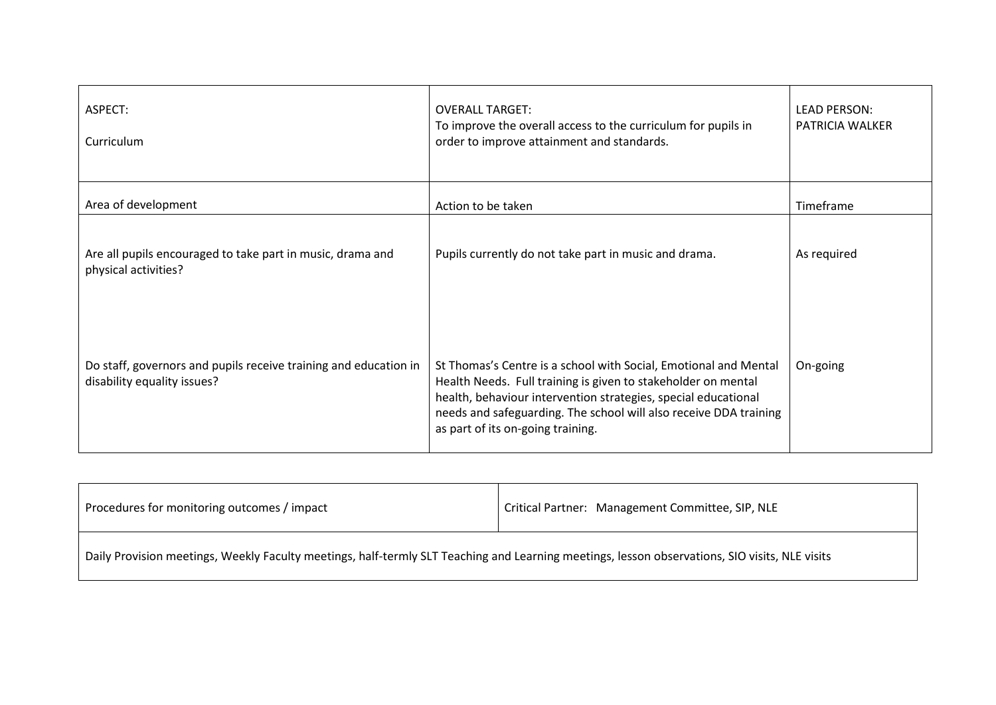| ASPECT:<br>Curriculum                                                                           | <b>OVERALL TARGET:</b><br>To improve the overall access to the curriculum for pupils in<br>order to improve attainment and standards.                                                                                                                                                                    |             |
|-------------------------------------------------------------------------------------------------|----------------------------------------------------------------------------------------------------------------------------------------------------------------------------------------------------------------------------------------------------------------------------------------------------------|-------------|
| Area of development                                                                             | Action to be taken                                                                                                                                                                                                                                                                                       | Timeframe   |
| Are all pupils encouraged to take part in music, drama and<br>physical activities?              | Pupils currently do not take part in music and drama. As an AP<br>provider, the core curriculum is English, Mathematics, IT and<br>Science. All Lower School Pupils have timetabled Art, Outdoor<br>Education and PE lessons. Upper School pupils have the<br>opportunity to take part in these lessons. | As required |
| Do staff, governors and pupils receive training and education in<br>disability equality issues? | St Thomas's Centre is a school with Social, Emotional and Mental<br>Health Needs. Full training is given to stakeholder on mental<br>health, behaviour intervention strategies, special educational<br>needs and safeguarding.                                                                           | On-going    |

| Procedures for monitoring outcomes / impact                                                                                                    | Critical Partner: Management Committee, SIP, NLE |  |
|------------------------------------------------------------------------------------------------------------------------------------------------|--------------------------------------------------|--|
| Daily Provision meetings, Weekly Faculty meetings, half-termly SLT Teaching and Learning meetings, lesson observations, SIO visits, NLE visits |                                                  |  |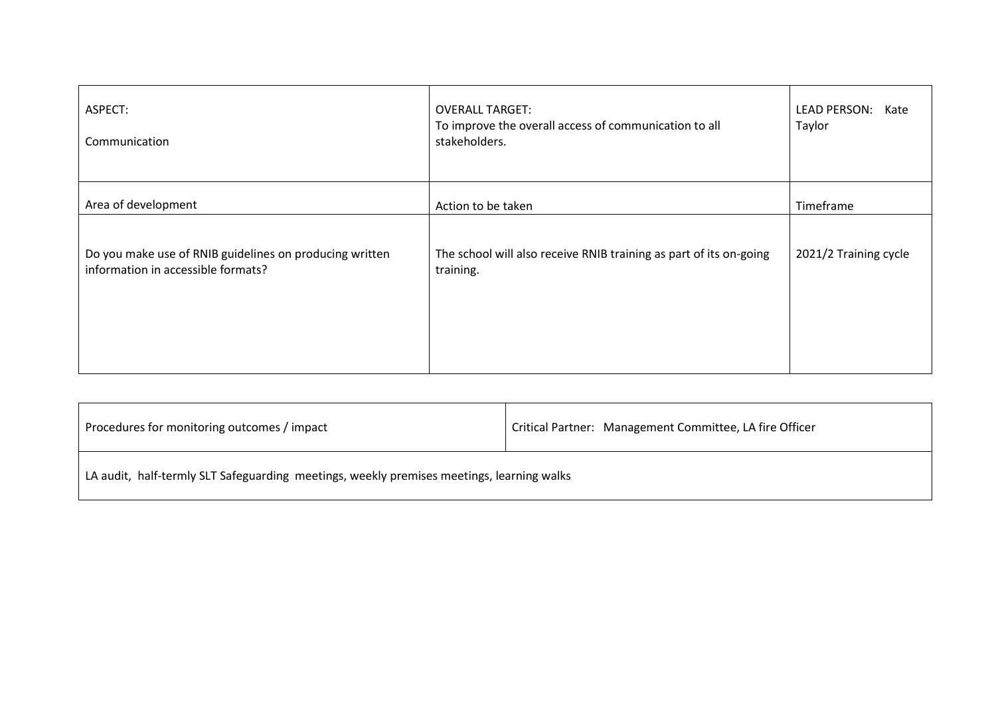| ASPECT:<br>Communication                                                                      | <b>OVERALL TARGET:</b><br>To improve the overall access of communication to all<br>stakeholders.                                                                                        | <b>LEAD PERSON:</b>   |
|-----------------------------------------------------------------------------------------------|-----------------------------------------------------------------------------------------------------------------------------------------------------------------------------------------|-----------------------|
| Area of development                                                                           | Action to be taken                                                                                                                                                                      | Timeframe             |
| Do you make use of RNIB guidelines on producing written<br>information in accessible formats? | The curriculum and resources are under review. The<br>new resources will follow the guidance.<br>New high contrast keyboards and larger monitors have<br>been purchased for both sites. | 2021/2 Training cycle |

| Procedures for monitoring outcomes / impact                                               | Critical Partner: Management Committee, LA fire Officer |
|-------------------------------------------------------------------------------------------|---------------------------------------------------------|
| LA audit, half-termly SLT Safeguarding meetings, weekly premises meetings, learning walks |                                                         |